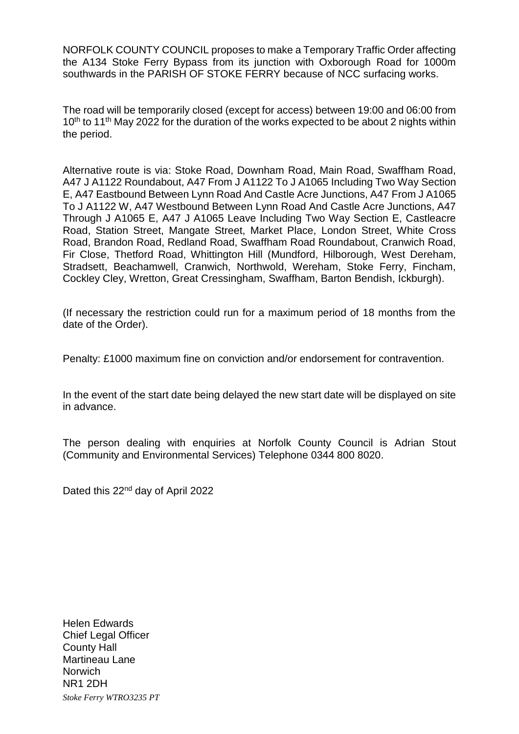NORFOLK COUNTY COUNCIL proposes to make a Temporary Traffic Order affecting the A134 Stoke Ferry Bypass from its junction with Oxborough Road for 1000m southwards in the PARISH OF STOKE FERRY because of NCC surfacing works.

The road will be temporarily closed (except for access) between 19:00 and 06:00 from 10<sup>th</sup> to 11<sup>th</sup> May 2022 for the duration of the works expected to be about 2 nights within the period.

Alternative route is via: Stoke Road, Downham Road, Main Road, Swaffham Road, A47 J A1122 Roundabout, A47 From J A1122 To J A1065 Including Two Way Section E, A47 Eastbound Between Lynn Road And Castle Acre Junctions, A47 From J A1065 To J A1122 W, A47 Westbound Between Lynn Road And Castle Acre Junctions, A47 Through J A1065 E, A47 J A1065 Leave Including Two Way Section E, Castleacre Road, Station Street, Mangate Street, Market Place, London Street, White Cross Road, Brandon Road, Redland Road, Swaffham Road Roundabout, Cranwich Road, Fir Close, Thetford Road, Whittington Hill (Mundford, Hilborough, West Dereham, Stradsett, Beachamwell, Cranwich, Northwold, Wereham, Stoke Ferry, Fincham, Cockley Cley, Wretton, Great Cressingham, Swaffham, Barton Bendish, Ickburgh).

(If necessary the restriction could run for a maximum period of 18 months from the date of the Order).

Penalty: £1000 maximum fine on conviction and/or endorsement for contravention.

In the event of the start date being delayed the new start date will be displayed on site in advance.

The person dealing with enquiries at Norfolk County Council is Adrian Stout (Community and Environmental Services) Telephone 0344 800 8020.

Dated this 22<sup>nd</sup> day of April 2022

*Stoke Ferry WTRO3235 PT* Helen Edwards Chief Legal Officer County Hall Martineau Lane **Norwich** NR1 2DH